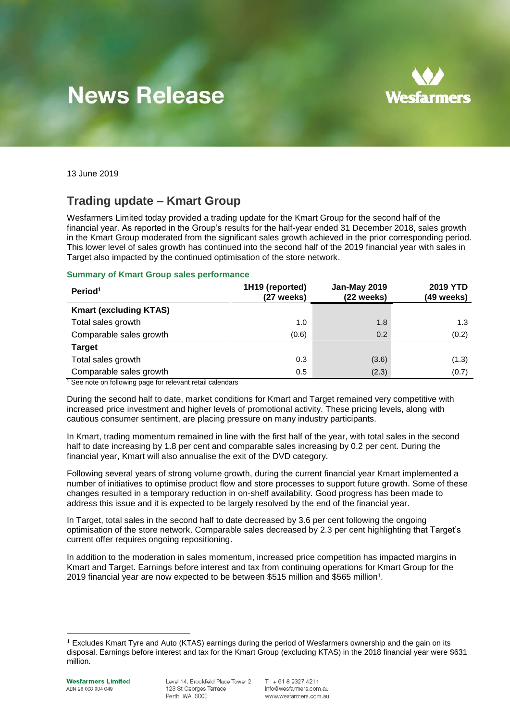# **News Release**



13 June 2019

## **Trading update – Kmart Group**

Wesfarmers Limited today provided a trading update for the Kmart Group for the second half of the financial year. As reported in the Group's results for the half-year ended 31 December 2018, sales growth in the Kmart Group moderated from the significant sales growth achieved in the prior corresponding period. This lower level of sales growth has continued into the second half of the 2019 financial year with sales in Target also impacted by the continued optimisation of the store network.

#### **Summary of Kmart Group sales performance**

| Period <sup>1</sup>           | 1H19 (reported)<br>(27 weeks) | Jan-May 2019<br>(22 weeks) | <b>2019 YTD</b><br>(49 weeks) |
|-------------------------------|-------------------------------|----------------------------|-------------------------------|
| <b>Kmart (excluding KTAS)</b> |                               |                            |                               |
| Total sales growth            | 1.0                           | 1.8                        | 1.3                           |
| Comparable sales growth       | (0.6)                         | 0.2                        | (0.2)                         |
| <b>Target</b>                 |                               |                            |                               |
| Total sales growth            | 0.3                           | (3.6)                      | (1.3)                         |
| Comparable sales growth       | 0.5                           | (2.3)                      | (0.7)                         |

 $1$  See note on following page for relevant retail calendars

During the second half to date, market conditions for Kmart and Target remained very competitive with increased price investment and higher levels of promotional activity. These pricing levels, along with cautious consumer sentiment, are placing pressure on many industry participants.

In Kmart, trading momentum remained in line with the first half of the year, with total sales in the second half to date increasing by 1.8 per cent and comparable sales increasing by 0.2 per cent. During the financial year, Kmart will also annualise the exit of the DVD category.

Following several years of strong volume growth, during the current financial year Kmart implemented a number of initiatives to optimise product flow and store processes to support future growth. Some of these changes resulted in a temporary reduction in on-shelf availability. Good progress has been made to address this issue and it is expected to be largely resolved by the end of the financial year.

In Target, total sales in the second half to date decreased by 3.6 per cent following the ongoing optimisation of the store network. Comparable sales decreased by 2.3 per cent highlighting that Target's current offer requires ongoing repositioning.

In addition to the moderation in sales momentum, increased price competition has impacted margins in Kmart and Target. Earnings before interest and tax from continuing operations for Kmart Group for the 2019 financial year are now expected to be between \$515 million and \$565 million<sup>1</sup> .

-

<sup>1</sup> Excludes Kmart Tyre and Auto (KTAS) earnings during the period of Wesfarmers ownership and the gain on its disposal. Earnings before interest and tax for the Kmart Group (excluding KTAS) in the 2018 financial year were \$631 million.